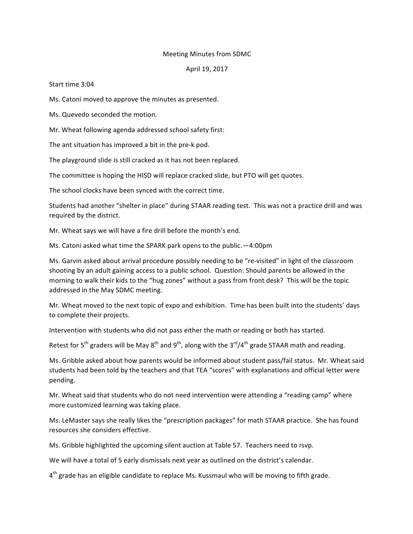## Meeting Minutes from SDMC

## April 19, 2017

## Start time 3:04

Ms. Catoni moved to approve the minutes as presented.

Ms. Quevedo seconded the motion.

Mr. Wheat following agenda addressed school safety first:

The ant situation has improved a bit in the pre-k pod.

The playground slide is still cracked as it has not been replaced.

The committee is hoping the HISD will replace cracked slide, but PTO will get quotes.

The school clocks have been synced with the correct time.

Students had another "shelter in place" during STAAR reading test. This was not a practice drill and was required by the district.

Mr. Wheat says we will have a fire drill before the month's end.

Ms. Catoni asked what time the SPARK park opens to the public. -4:00pm

Ms. Garvin asked about arrival procedure possibly needing to be "re-visited" in light of the classroom shooting by an adult gaining access to a public school. Question: Should parents be allowed in the morning to walk their kids to the "hug zones" without a pass from front desk? This will be the topic addressed in the May SDMC meeting.

Mr. Wheat moved to the next topic of expo and exhibition. Time has been built into the students' days to complete their projects.

Intervention with students who did not pass either the math or reading or both has started.

Retest for 5<sup>th</sup> graders will be May 8<sup>th</sup> and 9<sup>th</sup>, along with the 3<sup>rd</sup>/4<sup>th</sup> grade STAAR math and reading.

Ms. Gribble asked about how parents would be informed about student pass/fail status. Mr. Wheat said students had been told by the teachers and that TEA "scores" with explanations and official letter were pending.

Mr. Wheat said that students who do not need intervention were attending a "reading camp" where more customized learning was taking place.

Ms. LeMaster says she really likes the "prescription packages" for math STAAR practice. She has found resources she considers effective.

Ms. Gribble highlighted the upcoming silent auction at Table 57. Teachers need to rsvp.

We will have a total of 5 early dismissals next year as outlined on the district's calendar.

 $4<sup>th</sup>$  grade has an eligible candidate to replace Ms. Kussmaul who will be moving to fifth grade.